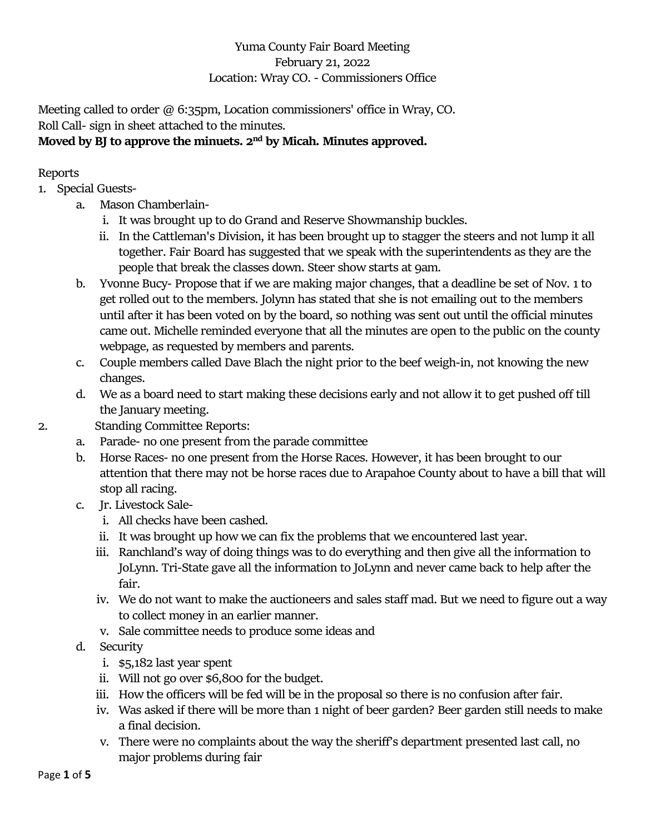## Yuma County Fair Board Meeting February 21, 2022 Location: Wray CO. - Commissioners Office

Meeting called to order @ 6:35pm, Location commissioners' office in Wray, CO. Roll Call- sign in sheet attached to the minutes.

## **Moved by BJ to approve the minuets. 2nd by Micah. Minutes approved.**

## Reports

- 1. Special Guests
	- a. Mason Chamberlain
		- i. It was brought up to do Grand and Reserve Showmanship buckles.
		- ii. In the Cattleman's Division, it has been brought up to stagger the steers and not lump it all together. Fair Board has suggested that we speak with the superintendents as they are the people that break the classes down. Steer show starts at 9am.
	- b. Yvonne Bucy- Propose that if we are making major changes, that a deadline be set of Nov. 1 to get rolled out to the members. Jolynn has stated that she is not emailing out to the members until after it has been voted on by the board, so nothing was sent out until the official minutes came out. Michelle reminded everyone that all the minutes are open to the public on the county webpage, as requested by members and parents.
	- c. Couple members called Dave Blach the night prior to the beef weigh-in, not knowing the new changes.
	- d. We as a board need to start making these decisions early and not allow it to get pushed off till the January meeting.
- 
- 2. Standing Committee Reports:
	- a. Parade- no one present from the parade committee
	- b. Horse Races- no one present from the Horse Races. However, it has been brought to our attention that there may not be horse races due to Arapahoe County about to have a bill that will stop all racing.
	- c. Jr. Livestock Sale
		- i. All checks have been cashed.
		- ii. It was brought up how we can fix the problems that we encountered last year.
		- iii. Ranchland's way of doing things was to do everything and then give all the information to JoLynn. Tri-State gave all the information to JoLynn and never came back to help after the fair.
		- iv. We do not want to make the auctioneers and sales staff mad. But we need to figure out a way to collect money in an earlier manner.
		- v. Sale committee needs to produce some ideas and
	- d. Security
		- i. \$5,182 last year spent
		- ii. Will not go over \$6,800 for the budget.
		- iii. How the officers will be fed will be in the proposal so there is no confusion after fair.
		- iv. Was asked if there will be more than 1 night of beer garden? Beer garden still needs to make a final decision.
		- v. There were no complaints about the way the sheriff's department presented last call, no major problems during fair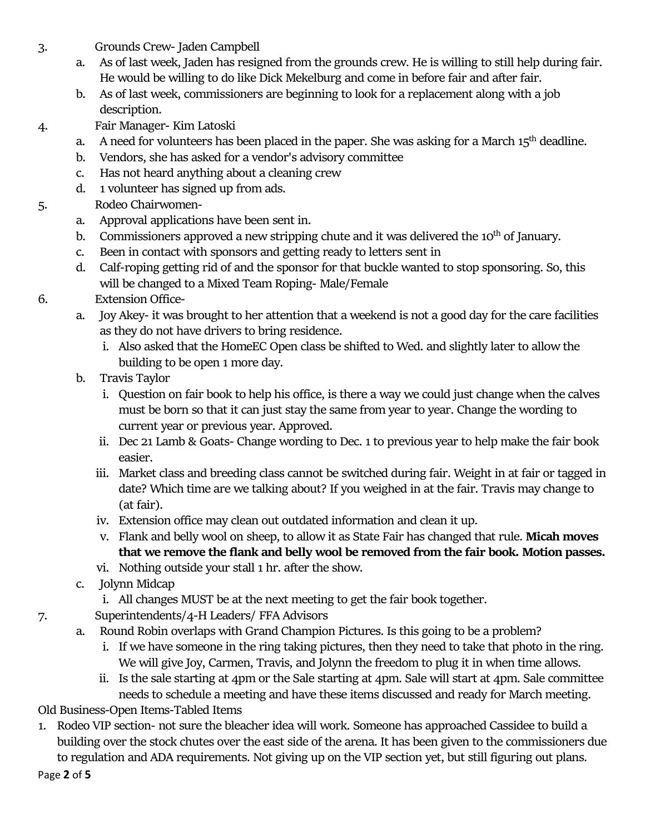3. Grounds Crew- Jaden Campbell

- a. As of last week, Jaden has resigned from the grounds crew. He is willing to still help during fair. He would be willing to do like Dick Mekelburg and come in before fair and after fair.
- b. As of last week, commissioners are beginning to look for a replacement along with a job description.
- 4. Fair Manager- Kim Latoski
	- a. A need for volunteers has been placed in the paper. She was asking for a March  $15<sup>th</sup>$  deadline.
	- b. Vendors, she has asked for a vendor's advisory committee
	- c. Has not heard anything about a cleaning crew
	- d. 1 volunteer has signed up from ads.
- 5. Rodeo Chairwomen
	- a. Approval applications have been sent in.
	- b. Commissioners approved a new stripping chute and it was delivered the  $10<sup>th</sup>$  of January.
	- c. Been in contact with sponsors and getting ready to letters sent in
	- d. Calf-roping getting rid of and the sponsor for that buckle wanted to stop sponsoring. So, this will be changed to a Mixed Team Roping- Male/Female
- 6. Extension Office
	- a. Joy Akey- it was brought to her attention that a weekend is not a good day for the care facilities as they do not have drivers to bring residence.
		- i. Also asked that the HomeEC Open class be shifted to Wed. and slightly later to allow the building to be open 1 more day.
	- b. Travis Taylor
		- i. Question on fair book to help his office, is there a way we could just change when the calves must be born so that it can just stay the same from year to year. Change the wording to current year or previous year. Approved.
		- ii. Dec 21 Lamb & Goats- Change wording to Dec. 1 to previous year to help make the fair book easier.
		- iii. Market class and breeding class cannot be switched during fair. Weight in at fair or tagged in date? Which time are we talking about? If you weighed in at the fair. Travis may change to (at fair).
		- iv. Extension office may clean out outdated information and clean it up.
		- v. Flank and belly wool on sheep, to allow it as State Fair has changed that rule. **Micah moves that we remove the flank and belly wool be removed from the fair book. Motion passes.**
		- vi. Nothing outside your stall 1 hr. after the show.
	- c. Jolynn Midcap
		- i. All changes MUST be at the next meeting to get the fair book together.
- 7. Superintendents/4-H Leaders/ FFA Advisors
	- Round Robin overlaps with Grand Champion Pictures. Is this going to be a problem?
		- i. If we have someone in the ring taking pictures, then they need to take that photo in the ring. We will give Joy, Carmen, Travis, and Jolynn the freedom to plug it in when time allows.
		- ii. Is the sale starting at 4pm or the Sale starting at 4pm. Sale will start at 4pm. Sale committee needs to schedule a meeting and have these items discussed and ready for March meeting.
- Old Business-Open Items-Tabled Items
- 1. Rodeo VIP section- not sure the bleacher idea will work. Someone has approached Cassidee to build a building over the stock chutes over the east side of the arena. It has been given to the commissioners due to regulation and ADA requirements. Not giving up on the VIP section yet, but still figuring out plans.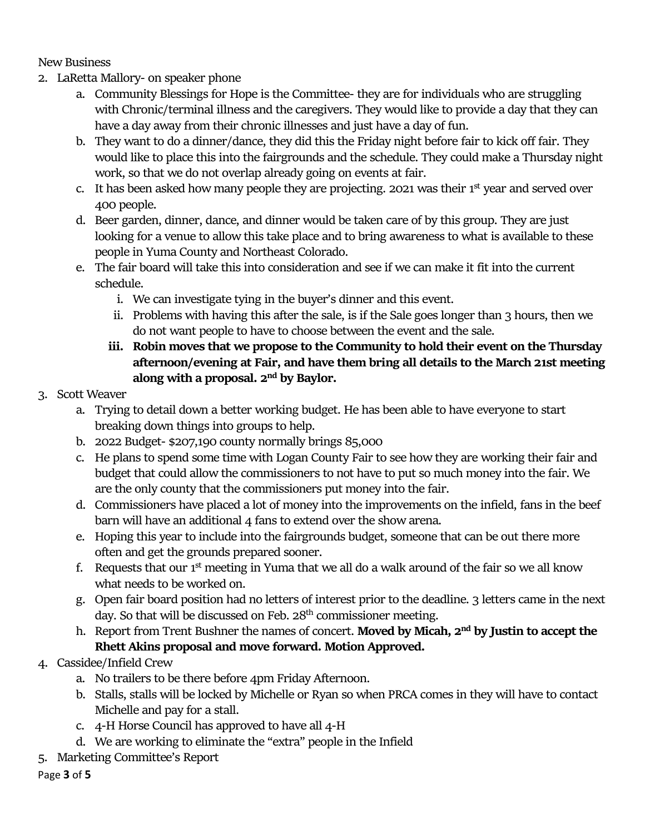New Business

- 2. LaRetta Mallory- on speaker phone
	- a. Community Blessings for Hope is the Committee- they are for individuals who are struggling with Chronic/terminal illness and the caregivers. They would like to provide a day that they can have a day away from their chronic illnesses and just have a day of fun.
	- b. They want to do a dinner/dance, they did this the Friday night before fair to kick off fair. They would like to place this into the fairgrounds and the schedule. They could make a Thursday night work, so that we do not overlap already going on events at fair.
	- c. It has been asked how many people they are projecting. 2021 was their  $1<sup>st</sup>$  year and served over 400 people.
	- d. Beer garden, dinner, dance, and dinner would be taken care of by this group. They are just looking for a venue to allow this take place and to bring awareness to what is available to these people in Yuma County and Northeast Colorado.
	- e. The fair board will take this into consideration and see if we can make it fit into the current schedule.
		- i. We can investigate tying in the buyer's dinner and this event.
		- ii. Problems with having this after the sale, is if the Sale goes longer than 3 hours, then we do not want people to have to choose between the event and the sale.
		- **iii. Robin moves that we propose to the Community to hold their event on the Thursday afternoon/evening at Fair, and have them bring all details to the March 21st meeting along with a proposal. 2nd by Baylor.**
- 3. Scott Weaver
	- a. Trying to detail down a better working budget. He has been able to have everyone to start breaking down things into groups to help.
	- b. 2022 Budget- \$207,190 county normally brings 85,000
	- c. He plans to spend some time with Logan County Fair to see how they are working their fair and budget that could allow the commissioners to not have to put so much money into the fair. We are the only county that the commissioners put money into the fair.
	- d. Commissioners have placed a lot of money into the improvements on the infield, fans in the beef barn will have an additional 4 fans to extend over the show arena.
	- e. Hoping this year to include into the fairgrounds budget, someone that can be out there more often and get the grounds prepared sooner.
	- f. Requests that our  $1<sup>st</sup>$  meeting in Yuma that we all do a walk around of the fair so we all know what needs to be worked on.
	- g. Open fair board position had no letters of interest prior to the deadline. 3 letters came in the next day. So that will be discussed on Feb.  $28<sup>th</sup>$  commissioner meeting.
	- h. Report from Trent Bushner the names of concert. **Moved by Micah, 2nd by Justin to accept the Rhett Akins proposal and move forward. Motion Approved.**
- 4. Cassidee/Infield Crew
	- a. No trailers to be there before 4pm Friday Afternoon.
	- b. Stalls, stalls will be locked by Michelle or Ryan so when PRCA comes in they will have to contact Michelle and pay for a stall.
	- c. 4-H Horse Council has approved to have all 4-H
	- d. We are working to eliminate the "extra" people in the Infield
- 5. Marketing Committee's Report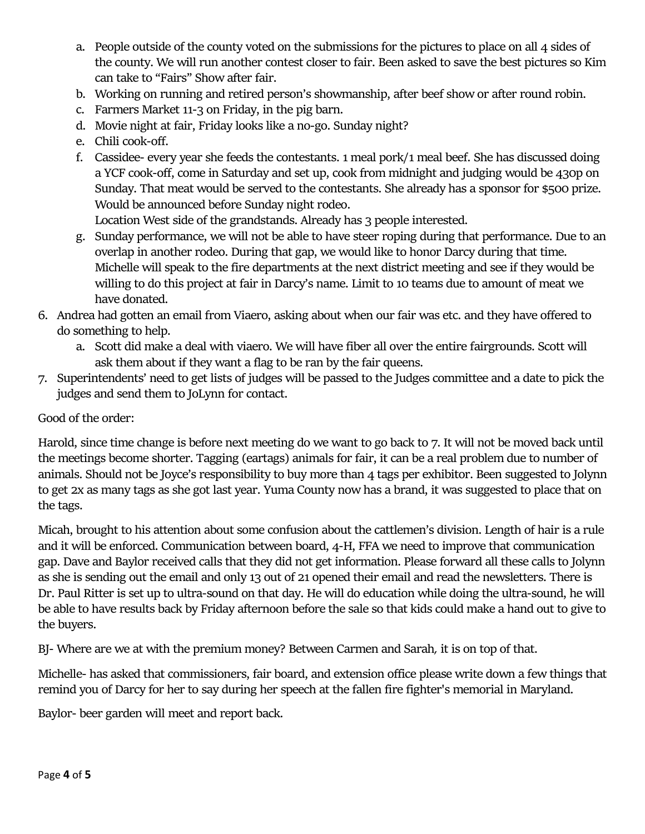- a. People outside of the county voted on the submissions for the pictures to place on all 4 sides of the county. We will run another contest closer to fair. Been asked to save the best pictures so Kim can take to "Fairs" Show after fair.
- b. Working on running and retired person's showmanship, after beef show or after round robin.
- c. Farmers Market 11-3 on Friday, in the pig barn.
- d. Movie night at fair, Friday looks like a no-go. Sunday night?
- e. Chili cook-off.
- f. Cassidee- every year she feeds the contestants. 1 meal pork/1 meal beef. She has discussed doing a YCF cook-off, come in Saturday and set up, cook from midnight and judging would be 430p on Sunday. That meat would be served to the contestants. She already has a sponsor for \$500 prize. Would be announced before Sunday night rodeo.

Location West side of the grandstands. Already has 3 people interested.

- g. Sunday performance, we will not be able to have steer roping during that performance. Due to an overlap in another rodeo. During that gap, we would like to honor Darcy during that time. Michelle will speak to the fire departments at the next district meeting and see if they would be willing to do this project at fair in Darcy's name. Limit to 10 teams due to amount of meat we have donated.
- 6. Andrea had gotten an email from Viaero, asking about when our fair was etc. and they have offered to do something to help.
	- a. Scott did make a deal with viaero. We will have fiber all over the entire fairgrounds. Scott will ask them about if they want a flag to be ran by the fair queens.
- 7. Superintendents' need to get lists of judges will be passed to the Judges committee and a date to pick the judges and send them to JoLynn for contact.

## Good of the order:

Harold, since time change is before next meeting do we want to go back to 7. It will not be moved back until the meetings become shorter. Tagging (eartags) animals for fair, it can be a real problem due to number of animals. Should not be Joyce's responsibility to buy more than 4 tags per exhibitor. Been suggested to Jolynn to get 2x as many tags as she got last year. Yuma County now has a brand, it was suggested to place that on the tags.

Micah, brought to his attention about some confusion about the cattlemen's division. Length of hair is a rule and it will be enforced. Communication between board, 4-H, FFA we need to improve that communication gap. Dave and Baylor received calls that they did not get information. Please forward all these calls to Jolynn as she is sending out the email and only 13 out of 21 opened their email and read the newsletters. There is Dr. Paul Ritter is set up to ultra-sound on that day. He will do education while doing the ultra-sound, he will be able to have results back by Friday afternoon before the sale so that kids could make a hand out to give to the buyers.

BJ- Where are we at with the premium money? Between Carmen and Sarah, it is on top of that.

Michelle- has asked that commissioners, fair board, and extension office please write down a few things that remind you of Darcy for her to say during her speech at the fallen fire fighter's memorial in Maryland.

Baylor- beer garden will meet and report back.